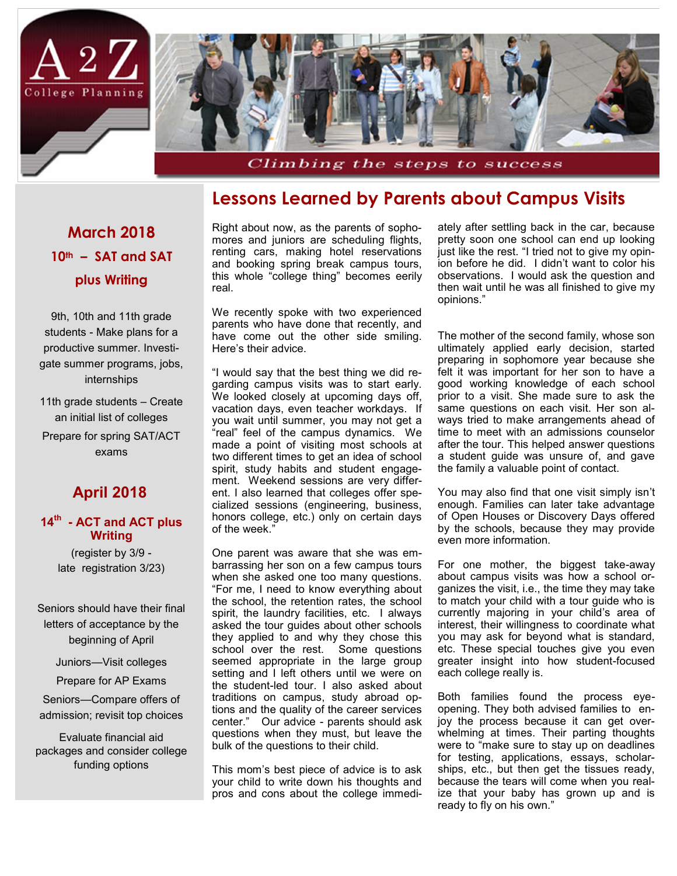

### **Lessons Learned by Parents about Campus Visits**

## **March 2018 10th – SAT and SAT plus Writing**

9th, 10th and 11th grade students - Make plans for a productive summer. Investigate summer programs, jobs, internships

11th grade students – Create an initial list of colleges

Prepare for spring SAT/ACT exams

### **April 2018**

#### **14th - ACT and ACT plus Writing**

(register by 3/9 late registration 3/23)

Seniors should have their final letters of acceptance by the beginning of April

Juniors—Visit colleges

Prepare for AP Exams

Seniors—Compare offers of admission; revisit top choices

Evaluate financial aid packages and consider college funding options

Right about now, as the parents of sophomores and juniors are scheduling flights, renting cars, making hotel reservations and booking spring break campus tours, this whole "college thing" becomes eerily real.

We recently spoke with two experienced parents who have done that recently, and have come out the other side smiling. Here's their advice.

"I would say that the best thing we did regarding campus visits was to start early. We looked closely at upcoming days off, vacation days, even teacher workdays. If you wait until summer, you may not get a "real" feel of the campus dynamics. We made a point of visiting most schools at two different times to get an idea of school spirit, study habits and student engagement. Weekend sessions are very different. I also learned that colleges offer specialized sessions (engineering, business, honors college, etc.) only on certain days of the week."

One parent was aware that she was embarrassing her son on a few campus tours when she asked one too many questions. "For me, I need to know everything about the school, the retention rates, the school spirit, the laundry facilities, etc. I always asked the tour guides about other schools they applied to and why they chose this school over the rest. Some questions seemed appropriate in the large group setting and I left others until we were on the student-led tour. I also asked about traditions on campus, study abroad options and the quality of the career services center." Our advice - parents should ask questions when they must, but leave the bulk of the questions to their child.

This mom's best piece of advice is to ask your child to write down his thoughts and pros and cons about the college immediately after settling back in the car, because pretty soon one school can end up looking just like the rest. "I tried not to give my opinion before he did. I didn't want to color his observations. I would ask the question and then wait until he was all finished to give my opinions."

The mother of the second family, whose son ultimately applied early decision, started preparing in sophomore year because she felt it was important for her son to have a good working knowledge of each school prior to a visit. She made sure to ask the same questions on each visit. Her son always tried to make arrangements ahead of time to meet with an admissions counselor after the tour. This helped answer questions a student guide was unsure of, and gave the family a valuable point of contact.

You may also find that one visit simply isn't enough. Families can later take advantage of Open Houses or Discovery Days offered by the schools, because they may provide even more information.

For one mother, the biggest take-away about campus visits was how a school organizes the visit, i.e., the time they may take to match your child with a tour guide who is currently majoring in your child's area of interest, their willingness to coordinate what you may ask for beyond what is standard, etc. These special touches give you even greater insight into how student-focused each college really is.

Both families found the process eyeopening. They both advised families to enjoy the process because it can get overwhelming at times. Their parting thoughts were to "make sure to stay up on deadlines for testing, applications, essays, scholarships, etc., but then get the tissues ready, because the tears will come when you realize that your baby has grown up and is ready to fly on his own."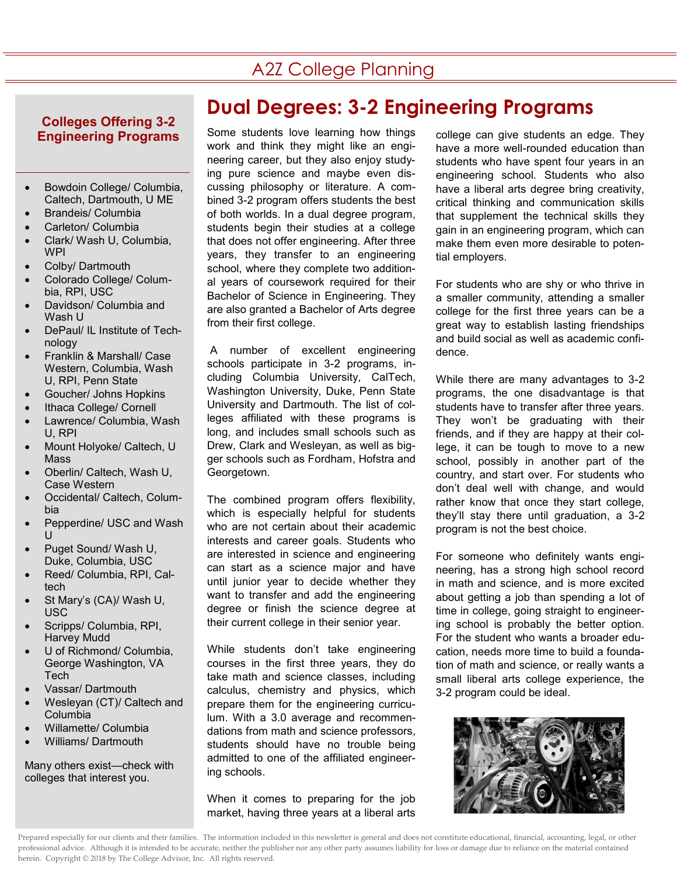## A2Z College Planning

#### **Colleges Offering 3-2 Engineering Programs**

- Bowdoin College/ Columbia, Caltech, Dartmouth, U ME
- Brandeis/ Columbia
- Carleton/ Columbia
- Clark/ Wash U, Columbia, **WPI**
- Colby/ Dartmouth
- Colorado College/ Columbia, RPI, USC
- Davidson/ Columbia and Wash U
- DePaul/ IL Institute of Technology
- Franklin & Marshall/ Case Western, Columbia, Wash U, RPI, Penn State
- Goucher/ Johns Hopkins
- Ithaca College/ Cornell
- Lawrence/ Columbia, Wash U, RPI
- Mount Holyoke/ Caltech, U Mass
- Oberlin/ Caltech, Wash U, Case Western
- Occidental/ Caltech, Columbia
- Pepperdine/ USC and Wash  $\mathbf{U}$
- Puget Sound/ Wash U, Duke, Columbia, USC
- Reed/ Columbia, RPI, Caltech
- St Mary's (CA)/ Wash U, USC
- Scripps/ Columbia, RPI, Harvey Mudd
- U of Richmond/ Columbia, George Washington, VA Tech
- Vassar/ Dartmouth
- Wesleyan (CT)/ Caltech and Columbia
- Willamette/ Columbia • Williams/ Dartmouth

Many others exist—check with colleges that interest you.

## **Dual Degrees: 3-2 Engineering Programs**

Some students love learning how things work and think they might like an engineering career, but they also enjoy studying pure science and maybe even discussing philosophy or literature. A combined 3-2 program offers students the best of both worlds. In a dual degree program, students begin their studies at a college that does not offer engineering. After three years, they transfer to an engineering school, where they complete two additional years of coursework required for their Bachelor of Science in Engineering. They are also granted a Bachelor of Arts degree from their first college.

A number of excellent engineering schools participate in 3-2 programs, including Columbia University, CalTech, Washington University, Duke, Penn State University and Dartmouth. The list of colleges affiliated with these programs is long, and includes small schools such as Drew, Clark and Wesleyan, as well as bigger schools such as Fordham, Hofstra and Georgetown.

The combined program offers flexibility, which is especially helpful for students who are not certain about their academic interests and career goals. Students who are interested in science and engineering can start as a science major and have until junior year to decide whether they want to transfer and add the engineering degree or finish the science degree at their current college in their senior year.

While students don't take engineering courses in the first three years, they do take math and science classes, including calculus, chemistry and physics, which prepare them for the engineering curriculum. With a 3.0 average and recommendations from math and science professors, students should have no trouble being admitted to one of the affiliated engineering schools.

When it comes to preparing for the job market, having three years at a liberal arts college can give students an edge. They have a more well-rounded education than students who have spent four years in an engineering school. Students who also have a liberal arts degree bring creativity, critical thinking and communication skills that supplement the technical skills they gain in an engineering program, which can make them even more desirable to potential employers.

For students who are shy or who thrive in a smaller community, attending a smaller college for the first three years can be a great way to establish lasting friendships and build social as well as academic confidence.

While there are many advantages to 3-2 programs, the one disadvantage is that students have to transfer after three years. They won't be graduating with their friends, and if they are happy at their college, it can be tough to move to a new school, possibly in another part of the country, and start over. For students who don't deal well with change, and would rather know that once they start college, they'll stay there until graduation, a 3-2 program is not the best choice.

For someone who definitely wants engineering, has a strong high school record in math and science, and is more excited about getting a job than spending a lot of time in college, going straight to engineering school is probably the better option. For the student who wants a broader education, needs more time to build a foundation of math and science, or really wants a small liberal arts college experience, the 3-2 program could be ideal.

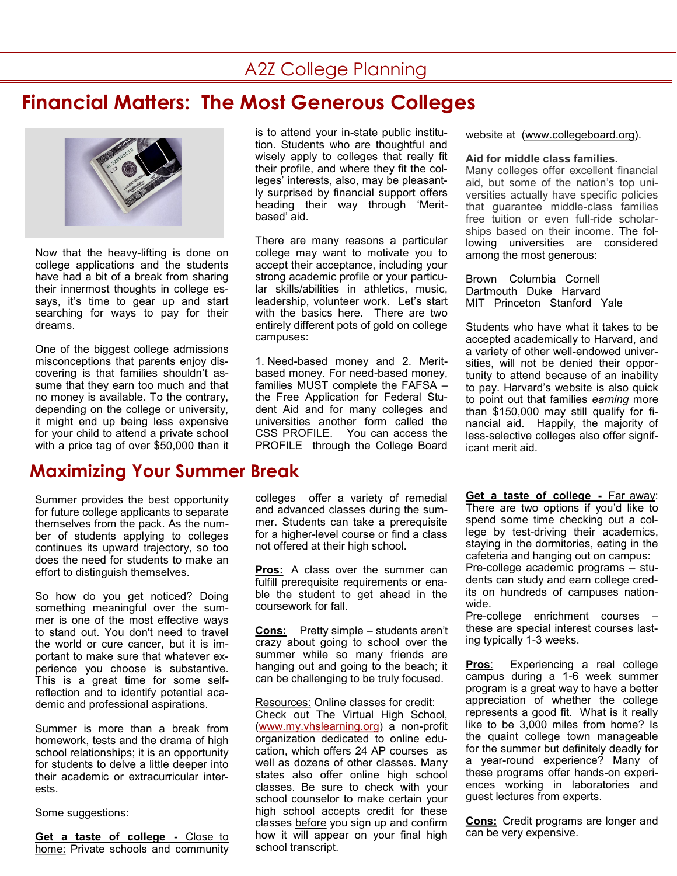## A2Z College Planning

# **Financial Matters: The Most Generous Colleges**



Now that the heavy-lifting is done on college applications and the students have had a bit of a break from sharing their innermost thoughts in college essays, it's time to gear up and start searching for ways to pay for their dreams.

One of the biggest college admissions misconceptions that parents enjoy discovering is that families shouldn't assume that they earn too much and that no money is available. To the contrary, depending on the college or university, it might end up being less expensive for your child to attend a private school with a price tag of over \$50,000 than it

### **Maximizing Your Summer Break**

Summer provides the best opportunity for future college applicants to separate themselves from the pack. As the number of students applying to colleges continues its upward trajectory, so too does the need for students to make an effort to distinguish themselves.

So how do you get noticed? Doing something meaningful over the summer is one of the most effective ways to stand out. You don't need to travel the world or cure cancer, but it is important to make sure that whatever experience you choose is substantive. This is a great time for some selfreflection and to identify potential academic and professional aspirations.

Summer is more than a break from homework, tests and the drama of high school relationships; it is an opportunity for students to delve a little deeper into their academic or extracurricular interests.

Some suggestions:

**Get a taste of college - Close to** home: Private schools and community is to attend your in-state public institution. Students who are thoughtful and wisely apply to colleges that really fit their profile, and where they fit the colleges' interests, also, may be pleasantly surprised by financial support offers heading their way through 'Meritbased' aid.

There are many reasons a particular college may want to motivate you to accept their acceptance, including your strong academic profile or your particular skills/abilities in athletics, music, leadership, volunteer work. Let's start with the basics here. There are two entirely different pots of gold on college campuses:

1. Need-based money and 2. Meritbased money. For need-based money, families MUST complete the FAFSA – the Free Application for Federal Student Aid and for many colleges and universities another form called the CSS PROFILE. You can access the PROFILE through the College Board

colleges offer a variety of remedial and advanced classes during the summer. Students can take a prerequisite for a higher-level course or find a class not offered at their high school.

**Pros:** A class over the summer can fulfill prerequisite requirements or enable the student to get ahead in the coursework for fall.

**Cons:** Pretty simple – students aren't crazy about going to school over the summer while so many friends are hanging out and going to the beach; it can be challenging to be truly focused.

Resources: Online classes for credit: Check out The Virtual High School, [\(www.my.vhslearning.org\)](http://www.my.vhslearning.org) a non-profit organization dedicated to online education, which offers 24 AP courses as well as dozens of other classes. Many states also offer online high school classes. Be sure to check with your school counselor to make certain your high school accepts credit for these classes before you sign up and confirm how it will appear on your final high school transcript.

website at [\(www.collegeboard.org\).](http://www.collegeboard.org)

#### **Aid for middle class families.**

Many colleges offer excellent financial aid, but some of the nation's top universities actually have specific policies that guarantee middle-class families free tuition or even full-ride scholarships based on their income. The following universities are considered among the most generous:

Brown Columbia Cornell Dartmouth Duke Harvard MIT Princeton Stanford Yale

Students who have what it takes to be accepted academically to Harvard, and a variety of other well-endowed universities, will not be denied their opportunity to attend because of an inability to pay. Harvard's website is also quick to point out that families *earning* more than \$150,000 may still qualify for financial aid. Happily, the majority of less-selective colleges also offer significant merit aid.

**Get a taste of college -** Far away: There are two options if you'd like to spend some time checking out a college by test-driving their academics, staying in the dormitories, eating in the cafeteria and hanging out on campus: Pre-college academic programs – students can study and earn college credits on hundreds of campuses nationwide.

Pre-college enrichment courses – these are special interest courses lasting typically 1-3 weeks.

**Pros**: Experiencing a real college campus during a 1-6 week summer program is a great way to have a better appreciation of whether the college represents a good fit. What is it really like to be 3,000 miles from home? Is the quaint college town manageable for the summer but definitely deadly for a year-round experience? Many of these programs offer hands-on experiences working in laboratories and guest lectures from experts.

**Cons:** Credit programs are longer and can be very expensive.